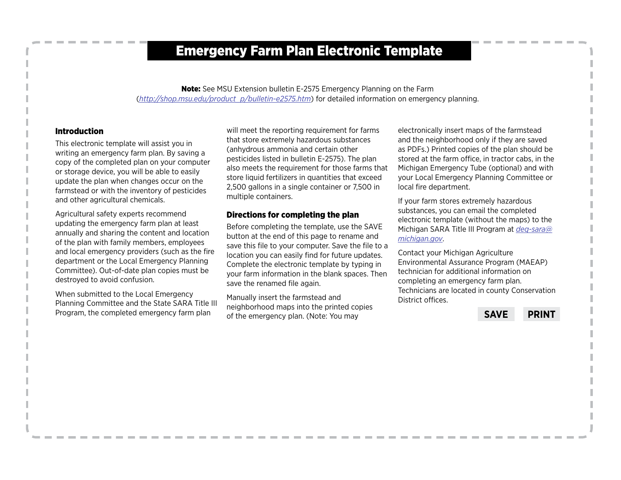### Emergency Farm Plan Electronic Template

Note: See MSU Extension bulletin E-2575 Emergency Planning on the Farm (*[http://shop.msu.edu/product\\_p/bulletin-e2575.htm](http://shop.msu.edu/product_p/bulletin-e2575.htm)*) for detailed information on emergency planning.

#### Introduction

This electronic template will assist you in writing an emergency farm plan. By saving a copy of the completed plan on your computer or storage device, you will be able to easily update the plan when changes occur on the farmstead or with the inventory of pesticides and other agricultural chemicals.

Agricultural safety experts recommend updating the emergency farm plan at least annually and sharing the content and location of the plan with family members, employees and local emergency providers (such as the fire department or the Local Emergency Planning Committee). Out-of-date plan copies must be destroyed to avoid confusion.

When submitted to the Local Emergency Planning Committee and the State SARA Title III Program, the completed emergency farm plan

will meet the reporting requirement for farms that store extremely hazardous substances (anhydrous ammonia and certain other pesticides listed in bulletin E-2575). The plan also meets the requirement for those farms that store liquid fertilizers in quantities that exceed 2,500 gallons in a single container or 7,500 in multiple containers.

#### Directions for completing the plan

Before completing the template, use the SAVE button at the end of this page to rename and save this file to your computer. Save the file to a location you can easily find for future updates. Complete the electronic template by typing in your farm information in the blank spaces. Then save the renamed file again.

Manually insert the farmstead and neighborhood maps into the printed copies of the emergency plan. (Note: You may

electronically insert maps of the farmstead and the neighborhood only if they are saved as PDFs.) Printed copies of the plan should be stored at the farm office, in tractor cabs, in the Michigan Emergency Tube (optional) and with your Local Emergency Planning Committee or local fire department.

If your farm stores extremely hazardous substances, you can email the completed electronic template (without the maps) to the Michigan SARA Title III Program at *[deq-sara@](mailto:deq-sara%40michigan.gov?subject=) [michigan.gov](mailto:deq-sara%40michigan.gov?subject=)*.

Contact your Michigan Agriculture Environmental Assurance Program (MAEAP) technician for additional information on completing an emergency farm plan. Technicians are located in county Conservation District offices.

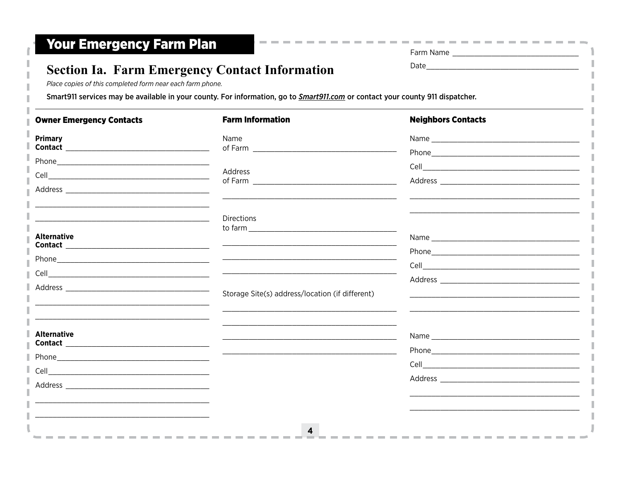| Farm Name |  |
|-----------|--|
| ∩at≙      |  |

--------

### **Section Ia. Farm Emergency Contact Information**

Place copies of this completed form near each farm phone.

Smart911 services may be available in your county. For information, go to Smart911.com or contact your county 911 dispatcher.

| <b>Owner Emergency Contacts</b> | <b>Farm Information</b>                         | <b>Neighbors Contacts</b> |
|---------------------------------|-------------------------------------------------|---------------------------|
| <b>Primary</b>                  | Name<br>of Farm _______________________         |                           |
|                                 |                                                 |                           |
|                                 | Address                                         |                           |
|                                 |                                                 |                           |
|                                 | Directions                                      |                           |
| <b>Alternative</b>              |                                                 |                           |
|                                 |                                                 |                           |
|                                 |                                                 |                           |
|                                 |                                                 |                           |
|                                 | Storage Site(s) address/location (if different) |                           |
|                                 |                                                 |                           |
| <b>Alternative</b>              |                                                 |                           |
|                                 |                                                 |                           |
|                                 |                                                 |                           |
|                                 |                                                 |                           |
|                                 |                                                 |                           |
|                                 |                                                 |                           |
|                                 |                                                 |                           |
|                                 | 4                                               |                           |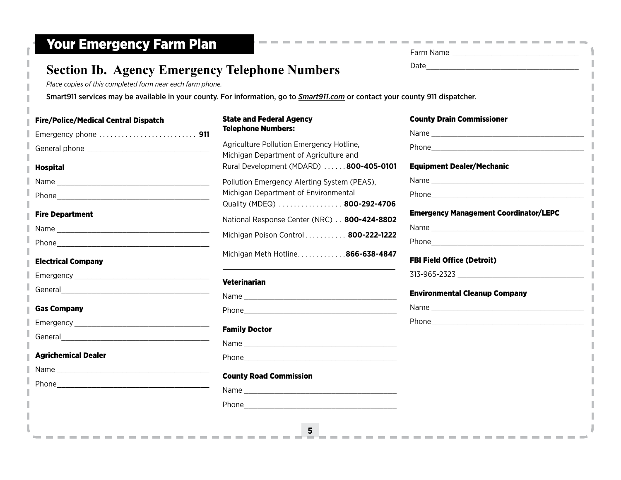| <b>Section Ib. Agency Emergency Telephone Numbers</b><br>Place copies of this completed form near each farm phone. |                                                                                                                                                                                                                                |                                              |
|--------------------------------------------------------------------------------------------------------------------|--------------------------------------------------------------------------------------------------------------------------------------------------------------------------------------------------------------------------------|----------------------------------------------|
|                                                                                                                    | Smart911 services may be available in your county. For information, go to Smart911.com or contact your county 911 dispatcher.                                                                                                  |                                              |
| e/Police/Medical Central Dispatch                                                                                  | <b>State and Federal Agency</b>                                                                                                                                                                                                | <b>County Drain Commissioner</b>             |
| dergency phone  911                                                                                                | <b>Telephone Numbers:</b>                                                                                                                                                                                                      |                                              |
|                                                                                                                    | Agriculture Pollution Emergency Hotline,<br>Michigan Department of Agriculture and                                                                                                                                             |                                              |
| spital                                                                                                             | Rural Development (MDARD) 800-405-0101                                                                                                                                                                                         | <b>Equipment Dealer/Mechanic</b>             |
|                                                                                                                    | Pollution Emergency Alerting System (PEAS),                                                                                                                                                                                    |                                              |
|                                                                                                                    | Michigan Department of Environmental                                                                                                                                                                                           |                                              |
| e Department                                                                                                       | Quality (MDEQ) 800-292-4706<br>National Response Center (NRC) 800-424-8802                                                                                                                                                     | <b>Emergency Management Coordinator/LEPC</b> |
|                                                                                                                    |                                                                                                                                                                                                                                |                                              |
|                                                                                                                    | Michigan Poison Control 800-222-1222                                                                                                                                                                                           |                                              |
| ectrical Company                                                                                                   | Michigan Meth Hotline866-638-4847                                                                                                                                                                                              | <b>FBI Field Office (Detroit)</b>            |
|                                                                                                                    |                                                                                                                                                                                                                                |                                              |
|                                                                                                                    | <b>Veterinarian</b>                                                                                                                                                                                                            | <b>Environmental Cleanup Company</b>         |
| s Company                                                                                                          |                                                                                                                                                                                                                                |                                              |
|                                                                                                                    |                                                                                                                                                                                                                                |                                              |
| neral and the contract of the contract of the contract of the contract of the contract of the contract of the      | <b>Family Doctor</b>                                                                                                                                                                                                           |                                              |
|                                                                                                                    |                                                                                                                                                                                                                                |                                              |
| richemical Dealer                                                                                                  |                                                                                                                                                                                                                                |                                              |
|                                                                                                                    | <b>County Road Commission</b>                                                                                                                                                                                                  |                                              |
|                                                                                                                    | Name and the state of the state of the state of the state of the state of the state of the state of the state of the state of the state of the state of the state of the state of the state of the state of the state of the s |                                              |
|                                                                                                                    |                                                                                                                                                                                                                                |                                              |

Emergency phone. . . **911** General phone \_\_\_\_\_\_\_\_\_\_\_\_\_\_\_\_\_\_\_\_\_\_\_\_\_\_\_\_

Name \_\_\_\_\_\_\_\_\_\_\_\_\_\_\_\_\_\_\_\_\_\_\_\_\_\_\_\_\_\_\_\_\_\_\_ Phone\_\_\_\_\_\_\_\_\_\_\_\_\_\_\_\_\_\_\_\_\_\_\_\_\_\_\_\_\_\_\_\_\_\_\_

Name \_\_\_\_\_\_\_\_\_\_\_\_\_\_\_\_\_\_\_\_\_\_\_\_\_\_\_\_\_\_\_\_\_\_\_

Emergency \_\_\_\_\_\_\_\_\_\_\_\_\_\_\_\_\_\_\_\_\_\_\_\_\_\_\_\_\_\_\_

Emergency \_\_\_\_\_\_\_\_\_\_\_\_\_\_\_\_\_\_\_\_\_\_\_\_\_\_\_\_\_\_\_

Name \_\_\_\_\_\_\_\_\_\_\_\_\_\_\_\_\_\_\_\_\_\_\_\_\_\_\_\_\_\_\_\_\_\_\_ Phone\_\_\_\_\_\_\_\_\_\_\_\_\_\_\_\_\_\_\_\_\_\_\_\_\_\_\_\_\_\_\_\_\_\_\_

-------------

Phone\_\_\_\_\_\_\_\_\_\_\_\_\_\_\_\_\_\_\_\_\_\_\_\_\_\_\_\_\_\_\_\_\_\_\_

General

General

Fire/Police/Medical Central Dispatch

Hospital

Fire Department

Electrical Company

Gas Company

Agrichemical Dealer

#### Family Doctor

### **County Road Cor**

**5**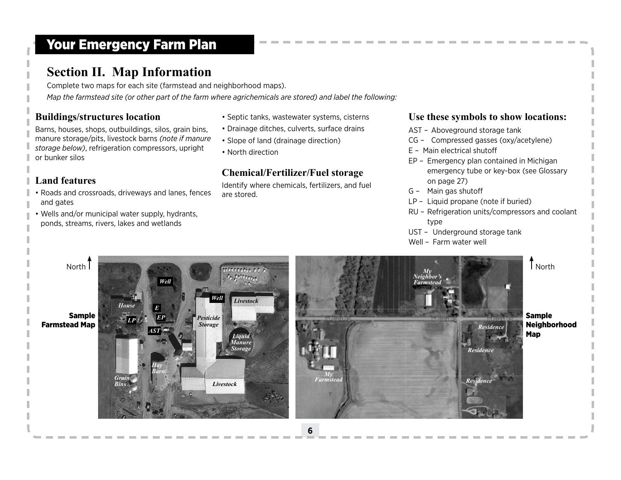### **Section II. Map Information**

Complete two maps for each site (farmstead and neighborhood maps). *Map the farmstead site (or other part of the farm where agrichemicals are stored) and label the following:*

### **Buildings/structures location**

Barns, houses, shops, outbuildings, silos, grain bins, manure storage/pits, livestock barns *(note if manure storage below)*, refrigeration compressors, upright or bunker silos

### **Land features**

- Roads and crossroads, driveways and lanes, fences and gates
- Wells and/or municipal water supply, hydrants, ponds, streams, rivers, lakes and wetlands
- Septic tanks, wastewater systems, cisterns
- Drainage ditches, culverts, surface drains
- Slope of land (drainage direction)
- North direction

### **Chemical/Fertilizer/Fuel storage**

Identify where chemicals, fertilizers, and fuel are stored.

### **Use these symbols to show locations:**

- AST Aboveground storage tank
- CG Compressed gasses (oxy/acetylene)
- E Main electrical shutoff
- EP Emergency plan contained in Michigan emergency tube or key-box (see Glossary on page 27)
- G Main gas shutoff
- LP Liquid propane (note if buried)
- RU Refrigeration units/compressors and coolant type
- UST Underground storage tank
- Well Farm water well

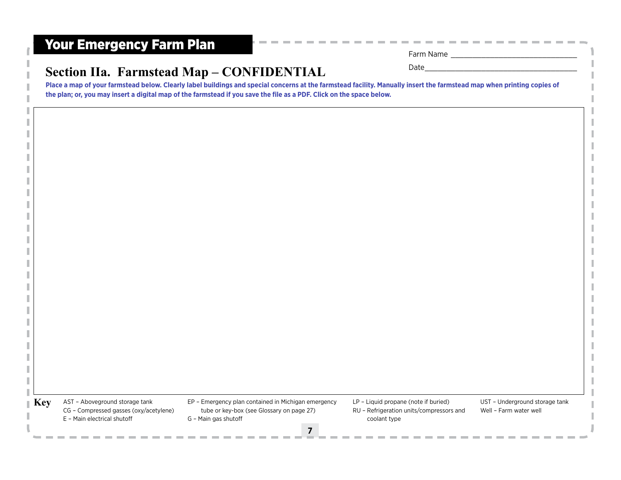| Farm Name   |  |
|-------------|--|
| <b>Date</b> |  |

### **Section IIa. Farmstead Map – CONFIDENTIAL**

**Place a map of your farmstead below. Clearly label buildings and special concerns at the farmstead facility. Manually insert the farmstead map when printing copies of the plan; or, you may insert a digital map of the farmstead if you save the file as a PDF. Click on the space below.**

**Key** AST - Aboveground storage tank CG – Compressed gasses (oxy/acetylene) E – Main electrical shutoff

- EP Emergency plan contained in Michigan emergency tube or key-box (see Glossary on page 27) G – Main gas shutoff
- LP Liquid propane (note if buried) RU – Refrigeration units/compressors and

coolant type

UST – Underground storage tank Well – Farm water well

**7**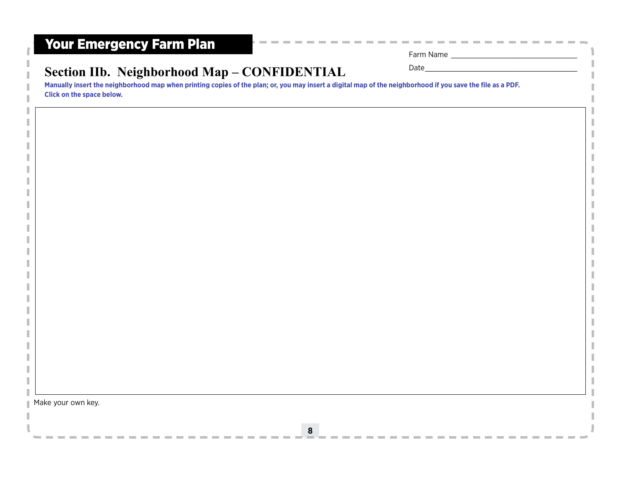| Farm Name |  |
|-----------|--|
|           |  |

-------

 $\sim$ 

### Section IIb. Neighborhood Map – CONFIDENTIAL Date –

**Manually insert the neighborhood map when printing copies of the plan; or, you may insert a digital map of the neighborhood if you save the file as a PDF. Click on the space below.**

Make your own key.

**Contract**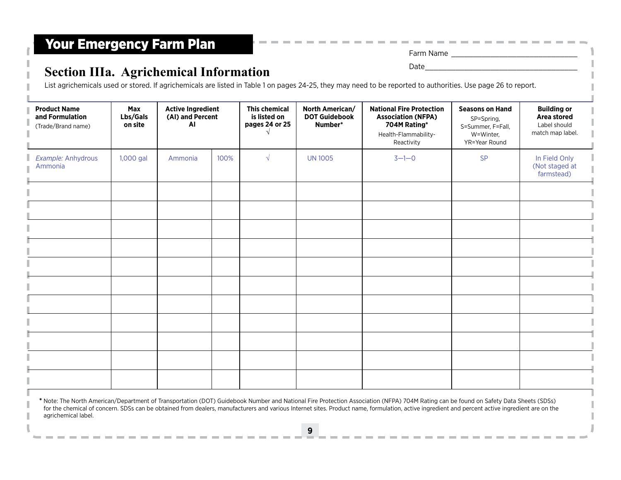agrichemical label.

# **Section IIIa. Agrichemical Information**

| Farill Natile |  |  |  |
|---------------|--|--|--|
|               |  |  |  |

**Contract Contract** 

List agrichemicals used or stored. If agrichemicals are listed in Table 1 on pages 24-25, they may need to be reported to authorities. Use [page 26](#page-12-0) to report.

| <b>Product Name</b><br>and Formulation<br>(Trade/Brand name)                                                                                                                         | Max<br>Lbs/Gals<br>on site | <b>Active Ingredient</b><br>(AI) and Percent<br>AI |      | <b>This chemical</b><br>is listed on<br>pages 24 or 25 | North American/<br><b>DOT Guidebook</b><br>Number* | <b>National Fire Protection</b><br><b>Association (NFPA)</b><br>704M Rating*<br>Health-Flammability-<br>Reactivity | <b>Seasons on Hand</b><br>SP=Spring,<br>S=Summer, F=Fall,<br>W=Winter,<br>YR=Year Round | <b>Building or</b><br>Area stored<br>Label should<br>match map label. |
|--------------------------------------------------------------------------------------------------------------------------------------------------------------------------------------|----------------------------|----------------------------------------------------|------|--------------------------------------------------------|----------------------------------------------------|--------------------------------------------------------------------------------------------------------------------|-----------------------------------------------------------------------------------------|-----------------------------------------------------------------------|
| Example: Anhydrous<br>Ammonia                                                                                                                                                        | 1,000 gal                  | Ammonia                                            | 100% | $\sqrt{ }$                                             | <b>UN 1005</b>                                     | $3 - 1 - 0$                                                                                                        | SP                                                                                      | In Field Only<br>(Not staged at<br>farmstead)                         |
|                                                                                                                                                                                      |                            |                                                    |      |                                                        |                                                    |                                                                                                                    |                                                                                         |                                                                       |
|                                                                                                                                                                                      |                            |                                                    |      |                                                        |                                                    |                                                                                                                    |                                                                                         |                                                                       |
|                                                                                                                                                                                      |                            |                                                    |      |                                                        |                                                    |                                                                                                                    |                                                                                         |                                                                       |
|                                                                                                                                                                                      |                            |                                                    |      |                                                        |                                                    |                                                                                                                    |                                                                                         |                                                                       |
|                                                                                                                                                                                      |                            |                                                    |      |                                                        |                                                    |                                                                                                                    |                                                                                         |                                                                       |
|                                                                                                                                                                                      |                            |                                                    |      |                                                        |                                                    |                                                                                                                    |                                                                                         |                                                                       |
| * Note: The North American/Department of Transportation (DOT) Guidebook Number and National Fire Protection Association (NFPA) 704M Rating can be found on Safety Data Sheets (SDSs) |                            |                                                    |      |                                                        |                                                    |                                                                                                                    |                                                                                         |                                                                       |

**9**

for the chemical of concern. SDSs can be obtained from dealers, manufacturers and various Internet sites. Product name, formulation, active ingredient and percent active ingredient are on the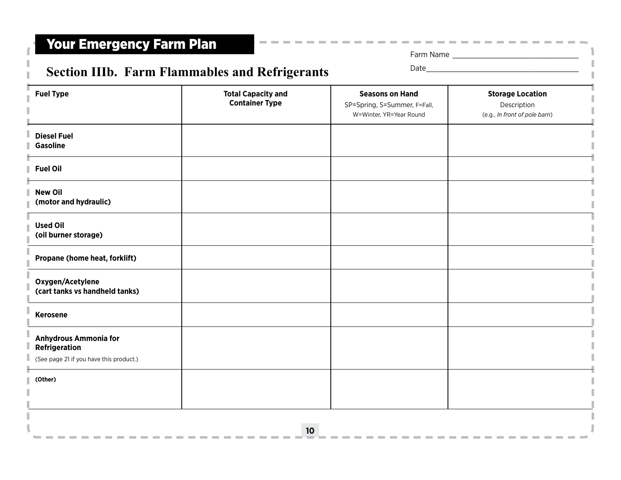Farm Name \_\_\_\_\_\_\_\_\_\_\_\_\_\_\_\_\_\_\_\_\_\_\_\_\_\_\_\_\_

--------

**COL** 

----

# Section IIIb. Farm Flammables and Refrigerants Date

| <b>Fuel Type</b>                                                                         | <b>Total Capacity and</b><br><b>Container Type</b> | <b>Seasons on Hand</b><br>SP=Spring, S=Summer, F=Fall,<br>W=Winter, YR=Year Round | <b>Storage Location</b><br>Description<br>(e.g., In front of pole barn) |
|------------------------------------------------------------------------------------------|----------------------------------------------------|-----------------------------------------------------------------------------------|-------------------------------------------------------------------------|
| <b>Diesel Fuel</b><br><b>Gasoline</b>                                                    |                                                    |                                                                                   |                                                                         |
| <b>Fuel Oil</b>                                                                          |                                                    |                                                                                   |                                                                         |
| <b>New Oil</b><br>(motor and hydraulic)                                                  |                                                    |                                                                                   |                                                                         |
| <b>Used Oil</b><br>(oil burner storage)                                                  |                                                    |                                                                                   |                                                                         |
| Propane (home heat, forklift)                                                            |                                                    |                                                                                   |                                                                         |
| Oxygen/Acetylene<br>(cart tanks vs handheld tanks)                                       |                                                    |                                                                                   |                                                                         |
| <b>Kerosene</b>                                                                          |                                                    |                                                                                   |                                                                         |
| <b>Anhydrous Ammonia for</b><br>Refrigeration<br>(See page 21 if you have this product.) |                                                    |                                                                                   |                                                                         |
| (Other)                                                                                  |                                                    |                                                                                   |                                                                         |
|                                                                                          |                                                    |                                                                                   |                                                                         |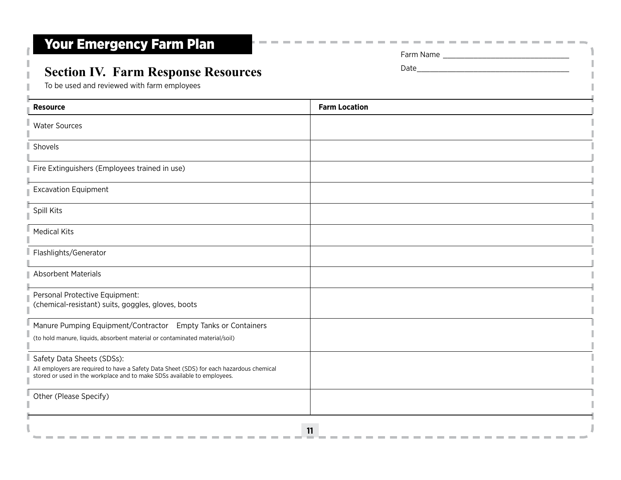### **Section IV. Farm Response Resources**

To be used and reviewed with farm employees

H.

| <b>Resource</b>                                                                                                                                                                                    | <b>Farm Location</b> |
|----------------------------------------------------------------------------------------------------------------------------------------------------------------------------------------------------|----------------------|
| <b>Water Sources</b>                                                                                                                                                                               |                      |
| Shovels                                                                                                                                                                                            |                      |
| Fire Extinguishers (Employees trained in use)                                                                                                                                                      |                      |
| <b>Excavation Equipment</b>                                                                                                                                                                        |                      |
| Spill Kits                                                                                                                                                                                         |                      |
| <b>Medical Kits</b>                                                                                                                                                                                |                      |
| Flashlights/Generator                                                                                                                                                                              |                      |
| <b>Absorbent Materials</b>                                                                                                                                                                         |                      |
| Personal Protective Equipment:<br>(chemical-resistant) suits, goggles, gloves, boots                                                                                                               |                      |
| Manure Pumping Equipment/Contractor Empty Tanks or Containers                                                                                                                                      |                      |
| (to hold manure, liquids, absorbent material or contaminated material/soil)                                                                                                                        |                      |
| Safety Data Sheets (SDSs):<br>All employers are required to have a Safety Data Sheet (SDS) for each hazardous chemical<br>stored or used in the workplace and to make SDSs available to employees. |                      |
| Other (Please Specify)                                                                                                                                                                             |                      |
|                                                                                                                                                                                                    | 11                   |

**COLLEGE COL** 

Farm Name \_\_\_\_\_\_\_\_\_\_\_\_\_\_\_\_\_\_\_\_\_\_\_\_\_\_\_\_\_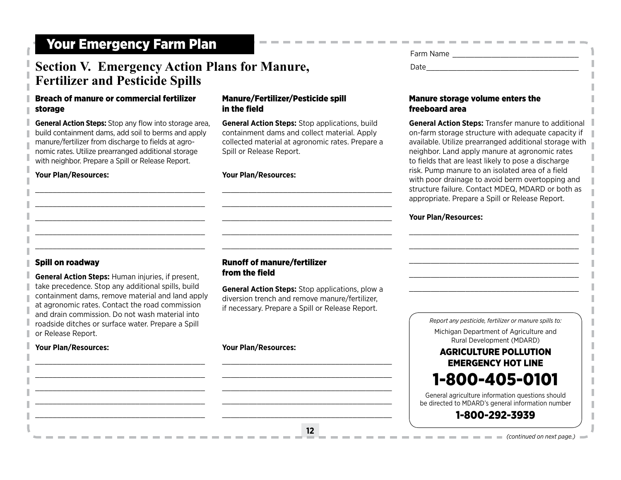### **Section V. Emergency Action Plans for Manure, Fertilizer and Pesticide Spills**

#### Breach of manure or commercial fertilizer storage

**General Action Steps:** Stop any flow into storage area, build containment dams, add soil to berms and apply manure/fertilizer from discharge to fields at agronomic rates. Utilize prearranged additional storage with neighbor. Prepare a Spill or Release Report.

\_\_\_\_\_\_\_\_\_\_\_\_\_\_\_\_\_\_\_\_\_\_\_\_\_\_\_\_\_\_\_\_\_\_\_\_\_\_\_ \_\_\_\_\_\_\_\_\_\_\_\_\_\_\_\_\_\_\_\_\_\_\_\_\_\_\_\_\_\_\_\_\_\_\_\_\_\_\_ \_\_\_\_\_\_\_\_\_\_\_\_\_\_\_\_\_\_\_\_\_\_\_\_\_\_\_\_\_\_\_\_\_\_\_\_\_\_\_ \_\_\_\_\_\_\_\_\_\_\_\_\_\_\_\_\_\_\_\_\_\_\_\_\_\_\_\_\_\_\_\_\_\_\_\_\_\_\_ \_\_\_\_\_\_\_\_\_\_\_\_\_\_\_\_\_\_\_\_\_\_\_\_\_\_\_\_\_\_\_\_\_\_\_\_\_\_\_

#### **Your Plan/Resources:**

#### Manure/Fertilizer/Pesticide spill in the field

**General Action Steps:** Stop applications, build containment dams and collect material. Apply collected material at agronomic rates. Prepare a Spill or Release Report.

\_\_\_\_\_\_\_\_\_\_\_\_\_\_\_\_\_\_\_\_\_\_\_\_\_\_\_\_\_\_\_\_\_\_\_\_\_\_\_ \_\_\_\_\_\_\_\_\_\_\_\_\_\_\_\_\_\_\_\_\_\_\_\_\_\_\_\_\_\_\_\_\_\_\_\_\_\_\_ \_\_\_\_\_\_\_\_\_\_\_\_\_\_\_\_\_\_\_\_\_\_\_\_\_\_\_\_\_\_\_\_\_\_\_\_\_\_\_ \_\_\_\_\_\_\_\_\_\_\_\_\_\_\_\_\_\_\_\_\_\_\_\_\_\_\_\_\_\_\_\_\_\_\_\_\_\_\_ \_\_\_\_\_\_\_\_\_\_\_\_\_\_\_\_\_\_\_\_\_\_\_\_\_\_\_\_\_\_\_\_\_\_\_\_\_\_\_

#### **Your Plan/Resources:**

| Farm Name   |  |
|-------------|--|
| <b>Date</b> |  |

#### Manure storage volume enters the freeboard area

**General Action Steps:** Transfer manure to additional on-farm storage structure with adequate capacity if available. Utilize prearranged additional storage with neighbor. Land apply manure at agronomic rates to fields that are least likely to pose a discharge risk. Pump manure to an isolated area of a field with poor drainage to avoid berm overtopping and structure failure. Contact MDEQ, MDARD or both as appropriate. Prepare a Spill or Release Report.

\_\_\_\_\_\_\_\_\_\_\_\_\_\_\_\_\_\_\_\_\_\_\_\_\_\_\_\_\_\_\_\_\_\_\_\_\_\_\_ \_\_\_\_\_\_\_\_\_\_\_\_\_\_\_\_\_\_\_\_\_\_\_\_\_\_\_\_\_\_\_\_\_\_\_\_\_\_\_ \_\_\_\_\_\_\_\_\_\_\_\_\_\_\_\_\_\_\_\_\_\_\_\_\_\_\_\_\_\_\_\_\_\_\_\_\_\_\_ \_\_\_\_\_\_\_\_\_\_\_\_\_\_\_\_\_\_\_\_\_\_\_\_\_\_\_\_\_\_\_\_\_\_\_\_\_\_\_ \_\_\_\_\_\_\_\_\_\_\_\_\_\_\_\_\_\_\_\_\_\_\_\_\_\_\_\_\_\_\_\_\_\_\_\_\_\_\_

#### **Your Plan/Resources:**

#### Spill on roadway

**General Action Steps:** Human injuries, if present, take precedence. Stop any additional spills, build containment dams, remove material and land apply at agronomic rates. Contact the road commission and drain commission. Do not wash material into roadside ditches or surface water. Prepare a Spill or Release Report.

\_\_\_\_\_\_\_\_\_\_\_\_\_\_\_\_\_\_\_\_\_\_\_\_\_\_\_\_\_\_\_\_\_\_\_\_\_\_\_ \_\_\_\_\_\_\_\_\_\_\_\_\_\_\_\_\_\_\_\_\_\_\_\_\_\_\_\_\_\_\_\_\_\_\_\_\_\_\_ \_\_\_\_\_\_\_\_\_\_\_\_\_\_\_\_\_\_\_\_\_\_\_\_\_\_\_\_\_\_\_\_\_\_\_\_\_\_\_ \_\_\_\_\_\_\_\_\_\_\_\_\_\_\_\_\_\_\_\_\_\_\_\_\_\_\_\_\_\_\_\_\_\_\_\_\_\_\_ \_\_\_\_\_\_\_\_\_\_\_\_\_\_\_\_\_\_\_\_\_\_\_\_\_\_\_\_\_\_\_\_\_\_\_\_\_\_\_

#### **Your Plan/Resources:**

#### Runoff of manure/fertilizer from the field

**General Action Steps:** Stop applications, plow a diversion trench and remove manure/fertilizer, if necessary. Prepare a Spill or Release Report.

**12**

\_\_\_\_\_\_\_\_\_\_\_\_\_\_\_\_\_\_\_\_\_\_\_\_\_\_\_\_\_\_\_\_\_\_\_\_\_\_\_ \_\_\_\_\_\_\_\_\_\_\_\_\_\_\_\_\_\_\_\_\_\_\_\_\_\_\_\_\_\_\_\_\_\_\_\_\_\_\_ \_\_\_\_\_\_\_\_\_\_\_\_\_\_\_\_\_\_\_\_\_\_\_\_\_\_\_\_\_\_\_\_\_\_\_\_\_\_\_ \_\_\_\_\_\_\_\_\_\_\_\_\_\_\_\_\_\_\_\_\_\_\_\_\_\_\_\_\_\_\_\_\_\_\_\_\_\_\_ \_\_\_\_\_\_\_\_\_\_\_\_\_\_\_\_\_\_\_\_\_\_\_\_\_\_\_\_\_\_\_\_\_\_\_\_\_\_\_

#### **Your Plan/Resources:**

*Report any pesticide, fertilizer or manure spills to:* Michigan Department of Agriculture and Rural Development (MDARD) AGRICULTURE POLLUTION EMERGENCY HOT LINE 1-800-405-0101 General agriculture information questions should be directed to MDARD's general information number

### 1-800-292-3939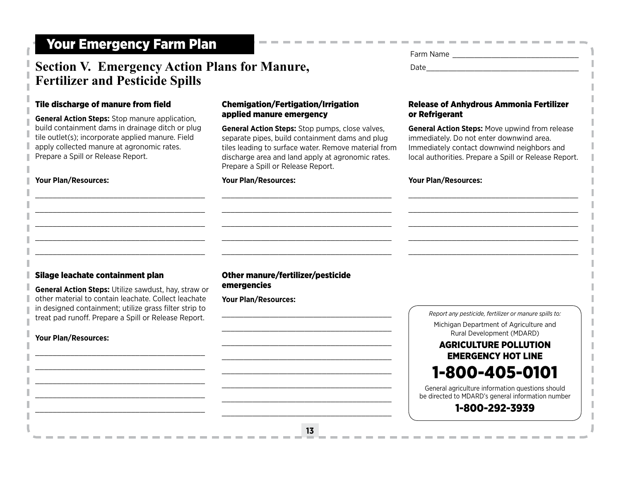### Section V. Emergency Action Plans for Manure, **Date**\_\_\_\_\_\_\_\_\_\_\_\_\_\_\_\_\_\_\_\_\_\_\_\_\_\_\_\_\_ **Fertilizer and Pesticide Spills**

#### Tile discharge of manure from field

**General Action Steps:** Stop manure application, build containment dams in drainage ditch or plug tile outlet(s); incorporate applied manure. Field apply collected manure at agronomic rates. Prepare a Spill or Release Report.

\_\_\_\_\_\_\_\_\_\_\_\_\_\_\_\_\_\_\_\_\_\_\_\_\_\_\_\_\_\_\_\_\_\_\_\_\_\_\_ \_\_\_\_\_\_\_\_\_\_\_\_\_\_\_\_\_\_\_\_\_\_\_\_\_\_\_\_\_\_\_\_\_\_\_\_\_\_\_ \_\_\_\_\_\_\_\_\_\_\_\_\_\_\_\_\_\_\_\_\_\_\_\_\_\_\_\_\_\_\_\_\_\_\_\_\_\_\_ \_\_\_\_\_\_\_\_\_\_\_\_\_\_\_\_\_\_\_\_\_\_\_\_\_\_\_\_\_\_\_\_\_\_\_\_\_\_\_ \_\_\_\_\_\_\_\_\_\_\_\_\_\_\_\_\_\_\_\_\_\_\_\_\_\_\_\_\_\_\_\_\_\_\_\_\_\_\_

#### **Your Plan/Resources:**

#### Chemigation/Fertigation/Irrigation applied manure emergency

**General Action Steps:** Stop pumps, close valves, separate pipes, build containment dams and plug tiles leading to surface water. Remove material from discharge area and land apply at agronomic rates. Prepare a Spill or Release Report.

**Contract Contract** 

\_\_\_\_\_\_\_\_\_\_\_\_\_\_\_\_\_\_\_\_\_\_\_\_\_\_\_\_\_\_\_\_\_\_\_\_\_\_\_ \_\_\_\_\_\_\_\_\_\_\_\_\_\_\_\_\_\_\_\_\_\_\_\_\_\_\_\_\_\_\_\_\_\_\_\_\_\_\_ \_\_\_\_\_\_\_\_\_\_\_\_\_\_\_\_\_\_\_\_\_\_\_\_\_\_\_\_\_\_\_\_\_\_\_\_\_\_\_ \_\_\_\_\_\_\_\_\_\_\_\_\_\_\_\_\_\_\_\_\_\_\_\_\_\_\_\_\_\_\_\_\_\_\_\_\_\_\_ \_\_\_\_\_\_\_\_\_\_\_\_\_\_\_\_\_\_\_\_\_\_\_\_\_\_\_\_\_\_\_\_\_\_\_\_\_\_\_

#### **Your Plan/Resources:**

# Farm Name \_\_\_\_\_\_\_\_\_\_\_\_\_\_\_\_\_\_\_\_\_\_\_\_\_\_\_\_\_

#### Release of Anhydrous Ammonia Fertilizer or Refrigerant

**General Action Steps:** Move upwind from release immediately. Do not enter downwind area. Immediately contact downwind neighbors and local authorities. Prepare a Spill or Release Report.

\_\_\_\_\_\_\_\_\_\_\_\_\_\_\_\_\_\_\_\_\_\_\_\_\_\_\_\_\_\_\_\_\_\_\_\_\_\_\_ \_\_\_\_\_\_\_\_\_\_\_\_\_\_\_\_\_\_\_\_\_\_\_\_\_\_\_\_\_\_\_\_\_\_\_\_\_\_\_ \_\_\_\_\_\_\_\_\_\_\_\_\_\_\_\_\_\_\_\_\_\_\_\_\_\_\_\_\_\_\_\_\_\_\_\_\_\_\_ \_\_\_\_\_\_\_\_\_\_\_\_\_\_\_\_\_\_\_\_\_\_\_\_\_\_\_\_\_\_\_\_\_\_\_\_\_\_\_ \_\_\_\_\_\_\_\_\_\_\_\_\_\_\_\_\_\_\_\_\_\_\_\_\_\_\_\_\_\_\_\_\_\_\_\_\_\_\_

#### **Your Plan/Resources:**

#### Silage leachate containment plan

**General Action Steps:** Utilize sawdust, hay, straw or other material to contain leachate. Collect leachate in designed containment; utilize grass filter strip to treat pad runoff. Prepare a Spill or Release Report.

\_\_\_\_\_\_\_\_\_\_\_\_\_\_\_\_\_\_\_\_\_\_\_\_\_\_\_\_\_\_\_\_\_\_\_\_\_\_\_ \_\_\_\_\_\_\_\_\_\_\_\_\_\_\_\_\_\_\_\_\_\_\_\_\_\_\_\_\_\_\_\_\_\_\_\_\_\_\_ \_\_\_\_\_\_\_\_\_\_\_\_\_\_\_\_\_\_\_\_\_\_\_\_\_\_\_\_\_\_\_\_\_\_\_\_\_\_\_ \_\_\_\_\_\_\_\_\_\_\_\_\_\_\_\_\_\_\_\_\_\_\_\_\_\_\_\_\_\_\_\_\_\_\_\_\_\_\_ \_\_\_\_\_\_\_\_\_\_\_\_\_\_\_\_\_\_\_\_\_\_\_\_\_\_\_\_\_\_\_\_\_\_\_\_\_\_\_

#### **Your Plan/Resources:**

### Other manure/fertilizer/pesticide emergencies

\_\_\_\_\_\_\_\_\_\_\_\_\_\_\_\_\_\_\_\_\_\_\_\_\_\_\_\_\_\_\_\_\_\_\_\_\_\_\_ \_\_\_\_\_\_\_\_\_\_\_\_\_\_\_\_\_\_\_\_\_\_\_\_\_\_\_\_\_\_\_\_\_\_\_\_\_\_\_ \_\_\_\_\_\_\_\_\_\_\_\_\_\_\_\_\_\_\_\_\_\_\_\_\_\_\_\_\_\_\_\_\_\_\_\_\_\_\_ \_\_\_\_\_\_\_\_\_\_\_\_\_\_\_\_\_\_\_\_\_\_\_\_\_\_\_\_\_\_\_\_\_\_\_\_\_\_\_ \_\_\_\_\_\_\_\_\_\_\_\_\_\_\_\_\_\_\_\_\_\_\_\_\_\_\_\_\_\_\_\_\_\_\_\_\_\_\_ \_\_\_\_\_\_\_\_\_\_\_\_\_\_\_\_\_\_\_\_\_\_\_\_\_\_\_\_\_\_\_\_\_\_\_\_\_\_\_ \_\_\_\_\_\_\_\_\_\_\_\_\_\_\_\_\_\_\_\_\_\_\_\_\_\_\_\_\_\_\_\_\_\_\_\_\_\_\_ \_\_\_\_\_\_\_\_\_\_\_\_\_\_\_\_\_\_\_\_\_\_\_\_\_\_\_\_\_\_\_\_\_\_\_\_\_\_\_

**13**

**Your Plan/Resources:**

*Report any pesticide, fertilizer or manure spills to:* Michigan Department of Agriculture and Rural Development (MDARD)

### AGRICULTURE POLLUTION EMERGENCY HOT LINE

# 1-800-405-0101

General agriculture information questions should be directed to MDARD's general information number

### 1-800-292-3939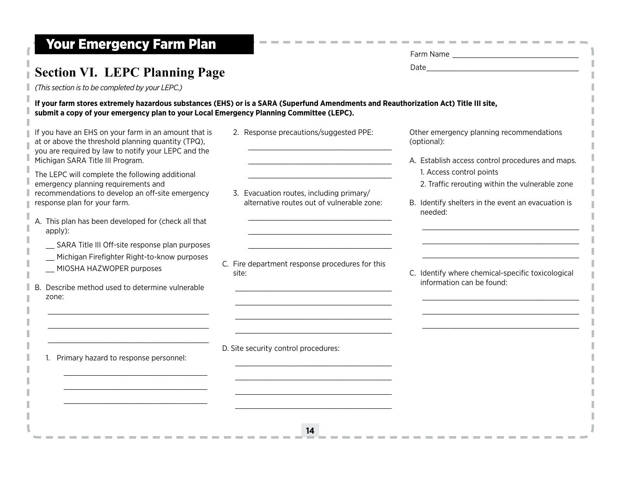# Your Emergency Farm Plan Farm Name \_\_\_\_\_\_\_\_\_\_\_\_\_\_\_\_\_\_\_\_\_\_\_\_\_\_\_\_\_

п

| <b>Section VI. LEPC Planning Page</b>                                                                                                                                                                                                                          |                                                                                        |                                                                                                                                         |
|----------------------------------------------------------------------------------------------------------------------------------------------------------------------------------------------------------------------------------------------------------------|----------------------------------------------------------------------------------------|-----------------------------------------------------------------------------------------------------------------------------------------|
| (This section is to be completed by your LEPC.)                                                                                                                                                                                                                |                                                                                        |                                                                                                                                         |
| If your farm stores extremely hazardous substances (EHS) or is a SARA (Superfund Amendments and Reauthorization Act) Title III site,<br>submit a copy of your emergency plan to your Local Emergency Planning Committee (LEPC).                                |                                                                                        |                                                                                                                                         |
| If you have an EHS on your farm in an amount that is<br>at or above the threshold planning quantity (TPQ),<br>you are required by law to notify your LEPC and the<br>Michigan SARA Title III Program.                                                          | 2. Response precautions/suggested PPE:                                                 | Other emergency planning recommendations<br>(optional):<br>A. Establish access control procedures and maps.<br>1. Access control points |
| The LEPC will complete the following additional<br>emergency planning requirements and<br>recommendations to develop an off-site emergency<br>response plan for your farm.                                                                                     | 3. Evacuation routes, including primary/<br>alternative routes out of vulnerable zone: | 2. Traffic rerouting within the vulnerable zone<br>B. Identify shelters in the event an evacuation is<br>needed:                        |
| A. This plan has been developed for (check all that<br>apply):<br>__ SARA Title III Off-site response plan purposes<br>_ Michigan Firefighter Right-to-know purposes<br>_ MIOSHA HAZWOPER purposes<br>B. Describe method used to determine vulnerable<br>zone: | C. Fire department response procedures for this<br>site:                               | C. Identify where chemical-specific toxicological<br>information can be found:                                                          |
| 1. Primary hazard to response personnel:                                                                                                                                                                                                                       | D. Site security control procedures:                                                   |                                                                                                                                         |
|                                                                                                                                                                                                                                                                | 14                                                                                     |                                                                                                                                         |